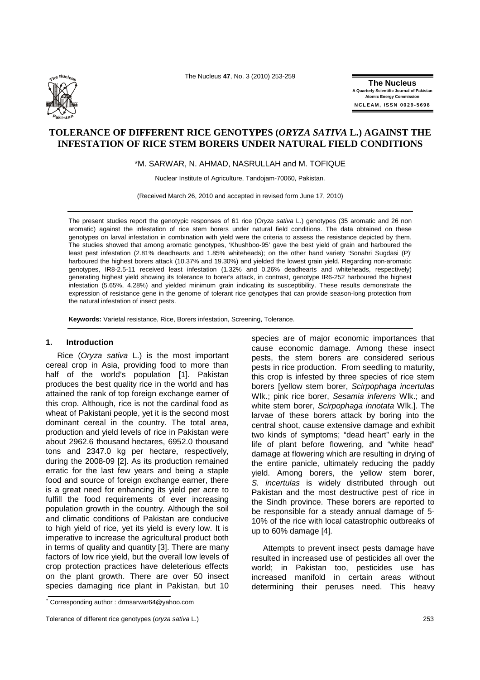The Nucleus **47**, No. 3 (2010) 253-259 **Th<sup>e</sup> <sup>N</sup><sup>u</sup>cleu<sup>s</sup>**



**The Nucleus A Quarterly Scientific Journal of Pakistan Atomic Energy Commission N C L E AM , ISS N 0029-5698**

# **TOLERANCE OF DIFFERENT RICE GENOTYPES (***ORYZA SATIVA* **L.) AGAINST THE INFESTATION OF RICE STEM BORERS UNDER NATURAL FIELD CONDITIONS**

\*M. SARWAR, N. AHMAD, NASRULLAH and M. TOFIQUE

Nuclear Institute of Agriculture, Tandojam-70060, Pakistan.

(Received March 26, 2010 and accepted in revised form June 17, 2010)

The present studies report the genotypic responses of 61 rice (*Oryza sativa* L.) genotypes (35 aromatic and 26 non aromatic) against the infestation of rice stem borers under natural field conditions. The data obtained on these genotypes on larval infestation in combination with yield were the criteria to assess the resistance depicted by them. The studies showed that among aromatic genotypes, 'Khushboo-95' gave the best yield of grain and harboured the least pest infestation (2.81% deadhearts and 1.85% whiteheads); on the other hand variety 'Sonahri Sugdasi (P)' harboured the highest borers attack (10.37% and 19.30%) and yielded the lowest grain yield. Regarding non-aromatic genotypes, IR8-2.5-11 received least infestation (1.32% and 0.26% deadhearts and whiteheads, respectively) generating highest yield showing its tolerance to borer's attack, in contrast, genotype IR6-252 harboured the highest infestation (5.65%, 4.28%) and yielded minimum grain indicating its susceptibility. These results demonstrate the expression of resistance gene in the genome of tolerant rice genotypes that can provide season-long protection from the natural infestation of insect pests.

**Keywords:** Varietal resistance, Rice, Borers infestation, Screening, Tolerance.

### **1. Introduction**

Rice (*Oryza sativa* L.) is the most important cereal crop in Asia, providing food to more than half of the world's population [1]. Pakistan produces the best quality rice in the world and has attained the rank of top foreign exchange earner of this crop. Although, rice is not the cardinal food as wheat of Pakistani people, yet it is the second most dominant cereal in the country. The total area, production and yield levels of rice in Pakistan were about 2962.6 thousand hectares, 6952.0 thousand tons and 2347.0 kg per hectare, respectively, during the 2008-09 [2]. As its production remained erratic for the last few years and being a staple food and source of foreign exchange earner, there is a great need for enhancing its yield per acre to fulfill the food requirements of ever increasing population growth in the country. Although the soil and climatic conditions of Pakistan are conducive to high yield of rice, yet its yield is every low. It is imperative to increase the agricultural product both in terms of quality and quantity [3]. There are many factors of low rice yield, but the overall low levels of crop protection practices have deleterious effects on the plant growth. There are over 50 insect species damaging rice plant in Pakistan, but 10

Tolerance of different rice genotypes (*oryza sativa* L.) 253

species are of major economic importances that cause economic damage. Among these insect pests, the stem borers are considered serious pests in rice production. From seedling to maturity, this crop is infested by three species of rice stem borers [yellow stem borer, *Scirpophaga incertulas* Wlk.; pink rice borer, *Sesamia inferens* Wlk.; and white stem borer, *Scirpophaga innotata* Wlk.]. The larvae of these borers attack by boring into the central shoot, cause extensive damage and exhibit two kinds of symptoms; "dead heart" early in the life of plant before flowering, and "white head" damage at flowering which are resulting in drying of the entire panicle, ultimately reducing the paddy yield. Among borers, the yellow stem borer, *S. incertulas* is widely distributed through out Pakistan and the most destructive pest of rice in the Sindh province. These borers are reported to be responsible for a steady annual damage of 5- 10% of the rice with local catastrophic outbreaks of up to 60% damage [4].

Attempts to prevent insect pests damage have resulted in increased use of pesticides all over the world; in Pakistan too, pesticides use has increased manifold in certain areas without determining their peruses need. This heavy

<sup>∗</sup> Corresponding author : [drmsarwar64@yahoo.com](mailto:drmsarwar64@yahoo.com)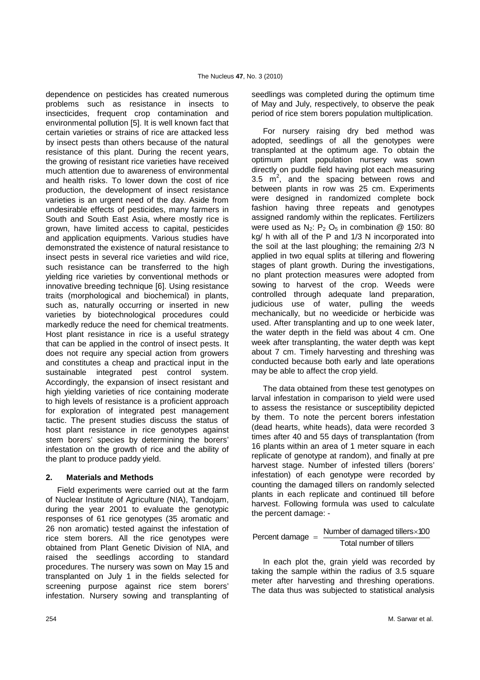dependence on pesticides has created numerous problems such as resistance in insects to insecticides, frequent crop contamination and environmental pollution [5]. It is well known fact that certain varieties or strains of rice are attacked less by insect pests than others because of the natural resistance of this plant. During the recent years, the growing of resistant rice varieties have received much attention due to awareness of environmental and health risks. To lower down the cost of rice production, the development of insect resistance varieties is an urgent need of the day. Aside from undesirable effects of pesticides, many farmers in South and South East Asia, where mostly rice is grown, have limited access to capital, pesticides and application equipments. Various studies have demonstrated the existence of natural resistance to insect pests in several rice varieties and wild rice, such resistance can be transferred to the high yielding rice varieties by conventional methods or innovative breeding technique [6]. Using resistance traits (morphological and biochemical) in plants, such as, naturally occurring or inserted in new varieties by biotechnological procedures could markedly reduce the need for chemical treatments. Host plant resistance in rice is a useful strategy that can be applied in the control of insect pests. It does not require any special action from growers and constitutes a cheap and practical input in the sustainable integrated pest control system. Accordingly, the expansion of insect resistant and high yielding varieties of rice containing moderate to high levels of resistance is a proficient approach for exploration of integrated pest management tactic. The present studies discuss the status of host plant resistance in rice genotypes against stem borers' species by determining the borers' infestation on the growth of rice and the ability of the plant to produce paddy yield.

## **2. Materials and Methods**

Field experiments were carried out at the farm of Nuclear Institute of Agriculture (NIA), Tandojam, during the year 2001 to evaluate the genotypic responses of 61 rice genotypes (35 aromatic and 26 non aromatic) tested against the infestation of rice stem borers. All the rice genotypes were obtained from Plant Genetic Division of NIA, and raised the seedlings according to standard procedures. The nursery was sown on May 15 and transplanted on July 1 in the fields selected for screening purpose against rice stem borers' infestation. Nursery sowing and transplanting of seedlings was completed during the optimum time of May and July, respectively, to observe the peak period of rice stem borers population multiplication.

For nursery raising dry bed method was adopted, seedlings of all the genotypes were transplanted at the optimum age. To obtain the optimum plant population nursery was sown directly on puddle field having plot each measuring 3.5  $\text{m}^2$ , and the spacing between rows and between plants in row was 25 cm. Experiments were designed in randomized complete bock fashion having three repeats and genotypes assigned randomly within the replicates. Fertilizers were used as  $N_2$ :  $P_2$  O<sub>5</sub> in combination @ 150: 80 kg/ h with all of the P and 1/3 N incorporated into the soil at the last ploughing; the remaining 2/3 N applied in two equal splits at tillering and flowering stages of plant growth. During the investigations, no plant protection measures were adopted from sowing to harvest of the crop. Weeds were controlled through adequate land preparation, judicious use of water, pulling the weeds mechanically, but no weedicide or herbicide was used. After transplanting and up to one week later, the water depth in the field was about 4 cm. One week after transplanting, the water depth was kept about 7 cm. Timely harvesting and threshing was conducted because both early and late operations may be able to affect the crop yield.

The data obtained from these test genotypes on larval infestation in comparison to yield were used to assess the resistance or susceptibility depicted by them. To note the percent borers infestation (dead hearts, white heads), data were recorded 3 times after 40 and 55 days of transplantation (from 16 plants within an area of 1 meter square in each replicate of genotype at random), and finally at pre harvest stage. Number of infested tillers (borers' infestation) of each genotype were recorded by counting the damaged tillers on randomly selected plants in each replicate and continued till before harvest. Following formula was used to calculate the percent damage: -

$$
Percent damage = \frac{Number of damaged tillers \times 100}{Total number of tillers}
$$

In each plot the, grain yield was recorded by taking the sample within the radius of 3.5 square meter after harvesting and threshing operations. The data thus was subjected to statistical analysis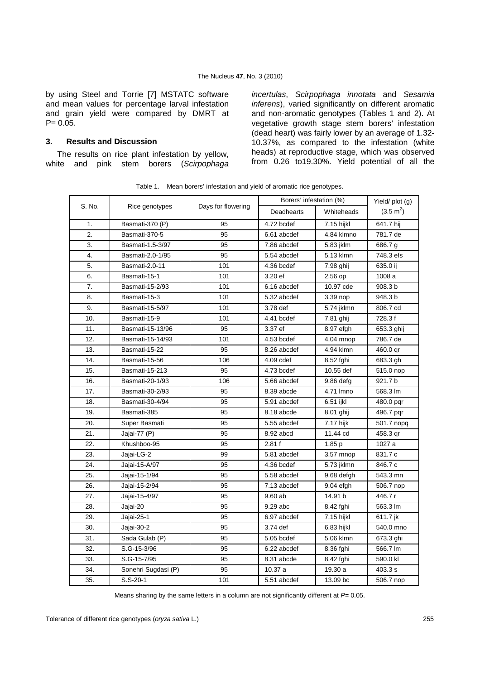by using Steel and Torrie [7] MSTATC software and mean values for percentage larval infestation and grain yield were compared by DMRT at  $P = 0.05$ .

### **3. Results and Discussion**

The results on rice plant infestation by yellow, white and pink stem borers (*Scirpophaga*  *incertulas*, *Scirpophaga innotata* and *Sesamia inferens*), varied significantly on different aromatic and non-aromatic genotypes (Tables 1 and 2). At vegetative growth stage stem borers' infestation (dead heart) was fairly lower by an average of 1.32- 10.37%, as compared to the infestation (white heads) at reproductive stage, which was observed from 0.26 to19.30%. Yield potential of all the

Table 1. Mean borers' infestation and yield of aromatic rice genotypes.

| S. No.         | Rice genotypes      | Days for flowering | Borers' infestation (%) |             | Yield/ plot (g)     |
|----------------|---------------------|--------------------|-------------------------|-------------|---------------------|
|                |                     |                    | Deadhearts              | Whiteheads  | $(3.5 \text{ m}^2)$ |
| 1.             | Basmati-370 (P)     | 95                 | 4.72 bcdef              | 7.15 hijkl  | 641.7 hij           |
| 2.             | Basmati-370-5       | 95                 | 6.61 abcdef             | 4.84 klmno  | 781.7 de            |
| 3.             | Basmati-1.5-3/97    | 95                 | 7.86 abcdef             | 5.83 jklm   | 686.7 g             |
| $\overline{4}$ | Basmati-2.0-1/95    | 95                 | 5.54 abcdef             | 5.13 klmn   | 748.3 efs           |
| 5.             | Basmati-2.0-11      | 101                | 4.36 bcdef              | 7.98 ghij   | 635.0 ii            |
| 6.             | Basmati-15-1        | 101                | 3.20 ef                 | $2.56$ op   | 1008 a              |
| 7.             | Basmati-15-2/93     | 101                | 6.16 abcdef             | 10.97 cde   | 908.3 b             |
| 8.             | Basmati-15-3        | 101                | 5.32 abcdef             | 3.39 nop    | 948.3 b             |
| 9.             | Basmati-15-5/97     | 101                | 3.78 def                | 5.74 jklmn  | 806.7 cd            |
| 10.            | Basmati-15-9        | 101                | 4.41 bcdef              | 7.81 ghij   | 728.3f              |
| 11.            | Basmati-15-13/96    | 95                 | 3.37 ef                 | 8.97 efgh   | 653.3 ghij          |
| 12.            | Basmati-15-14/93    | 101                | 4.53 bcdef              | 4.04 mnop   | 786.7 de            |
| 13.            | Basmati-15-22       | 95                 | 8.26 abcdef             | 4.94 klmn   | 460.0 gr            |
| 14.            | Basmati-15-56       | 106                | 4.09 cdef               | 8.52 fghi   | 683.3 gh            |
| 15.            | Basmati-15-213      | 95                 | 4.73 bcdef              | 10.55 def   | 515.0 nop           |
| 16.            | Basmati-20-1/93     | 106                | 5.66 abcdef             | 9.86 defg   | 921.7 b             |
| 17.            | Basmati-30-2/93     | 95                 | 8.39 abcde              | 4.71 Imno   | 568.3 lm            |
| 18.            | Basmati-30-4/94     | 95                 | 5.91 abcdef             | 6.51 ijkl   | 480.0 pgr           |
| 19.            | Basmati-385         | 95                 | 8.18 abcde              | 8.01 ghij   | 496.7 pqr           |
| 20.            | Super Basmati       | 95                 | 5.55 abcdef             | 7.17 hijk   | 501.7 nopq          |
| 21.            | Jajai-77 (P)        | 95                 | 8.92 abcd               | 11.44 cd    | 458.3 gr            |
| 22.            | Khushboo-95         | 95                 | 2.81f                   | 1.85 p      | 1027 a              |
| 23.            | Jajai-LG-2          | 99                 | 5.81 abcdef             | 3.57 mnop   | 831.7 c             |
| 24.            | Jajai-15-A/97       | 95                 | 4.36 bcdef              | 5.73 jklmn  | 846.7 c             |
| 25.            | Jajai-15-1/94       | 95                 | 5.58 abcdef             | 9.68 defgh  | 543.3 mn            |
| 26.            | Jajai-15-2/94       | 95                 | 7.13 abcdef             | $9.04$ efgh | 506.7 nop           |
| 27.            | Jajai-15-4/97       | 95                 | 9.60 ab                 | 14.91 b     | 446.7r              |
| 28.            | Jajai-20            | 95                 | 9.29 abc                | 8.42 fghi   | 563.3 lm            |
| 29.            | Jajai-25-1          | 95                 | 6.97 abcdef             | 7.15 hijkl  | 611.7 jk            |
| 30.            | Jajai-30-2          | 95                 | 3.74 def                | 6.83 hijkl  | 540.0 mno           |
| 31.            | Sada Gulab (P)      | 95                 | 5.05 bcdef              | 5.06 klmn   | 673.3 ghi           |
| 32.            | S.G-15-3/96         | 95                 | 6.22 abcdef             | 8.36 fghi   | 566.7 lm            |
| 33.            | S.G-15-7/95         | 95                 | 8.31 abcde              | 8.42 fghi   | 590.0 kl            |
| 34.            | Sonehri Sugdasi (P) | 95                 | 10.37 a                 | 19.30 a     | 403.3 s             |
| 35.            | $S.S-20-1$          | 101                | 5.51 abcdef             | 13.09 bc    | 506.7 nop           |

Means sharing by the same letters in a column are not significantly different at *P=* 0.05.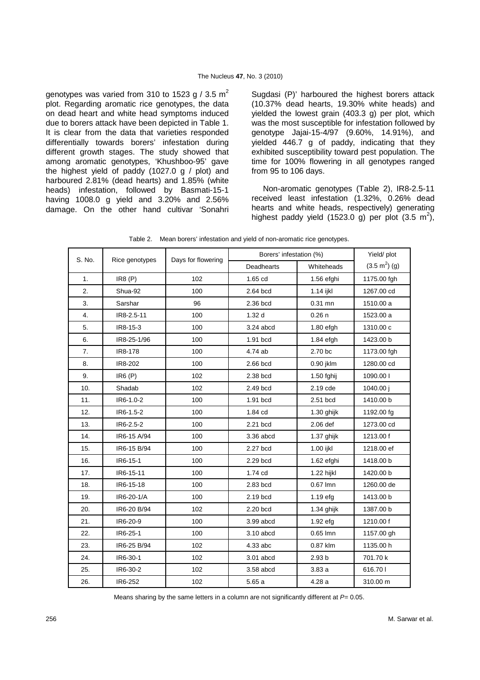genotypes was varied from 310 to 1523 g / 3.5  $m^2$ plot. Regarding aromatic rice genotypes, the data on dead heart and white head symptoms induced due to borers attack have been depicted in Table 1. It is clear from the data that varieties responded differentially towards borers' infestation during different growth stages. The study showed that among aromatic genotypes, 'Khushboo-95' gave the highest yield of paddy (1027.0 g / plot) and harboured 2.81% (dead hearts) and 1.85% (white heads) infestation, followed by Basmati-15-1 having 1008.0 g yield and 3.20% and 2.56% damage. On the other hand cultivar 'Sonahri Sugdasi (P)' harboured the highest borers attack (10.37% dead hearts, 19.30% white heads) and yielded the lowest grain (403.3 g) per plot, which was the most susceptible for infestation followed by genotype Jajai-15-4/97 (9.60%, 14.91%), and yielded 446.7 g of paddy, indicating that they exhibited susceptibility toward pest population. The time for 100% flowering in all genotypes ranged from 95 to 106 days.

Non-aromatic genotypes (Table 2), IR8-2.5-11 received least infestation (1.32%, 0.26% dead hearts and white heads, respectively) generating highest paddy yield (1523.0 g) per plot  $(3.5 \text{ m}^2)$ ,

| S. No. | Rice genotypes | Days for flowering | Borers' infestation (%) |                   | Yield/ plot             |
|--------|----------------|--------------------|-------------------------|-------------------|-------------------------|
|        |                |                    | <b>Deadhearts</b>       | Whiteheads        | $(3.5 \text{ m}^2)$ (g) |
| 1.     | IR8(P)         | 102                | $1.65$ cd               | 1.56 efghi        | 1175.00 fgh             |
| 2.     | Shua-92        | 100                | 2.64 bcd                | 1.14 ijkl         | 1267.00 cd              |
| 3.     | Sarshar        | 96                 | 2.36 bcd                | $0.31$ mn         | 1510.00 a               |
| 4.     | IR8-2.5-11     | 100                | 1.32 <sub>d</sub>       | 0.26n             | 1523.00 a               |
| 5.     | IR8-15-3       | 100                | 3.24 abcd               | $1.80$ efgh       | 1310.00 c               |
| 6.     | IR8-25-1/96    | 100                | 1.91 bcd                | $1.84$ efgh       | 1423.00 b               |
| 7.     | IR8-178        | 100                | 4.74 ab                 | 2.70 bc           | 1173.00 fgh             |
| 8.     | IR8-202        | 100                | $2.66$ bcd              | 0.90 jklm         | 1280.00 cd              |
| 9.     | IR6(P)         | 102                | 2.38 bcd                | 1.50 fghij        | 1090.00                 |
| 10.    | Shadab         | 102                | 2.49 bcd                | 2.19 cde          | 1040.00 j               |
| 11.    | IR6-1.0-2      | 100                | 1.91 bcd                | 2.51 bcd          | 1410.00 b               |
| 12.    | IR6-1.5-2      | 100                | 1.84 cd                 | 1.30 ghijk        | 1192.00 fg              |
| 13.    | IR6-2.5-2      | 100                | 2.21 bcd                | $2.06$ def        | 1273.00 cd              |
| 14.    | IR6-15 A/94    | 100                | 3.36 abcd               | 1.37 ghijk        | 1213.00 f               |
| 15.    | IR6-15 B/94    | 100                | 2.27 bcd                | 1.00 ijkl         | 1218.00 ef              |
| 16.    | IR6-15-1       | 100                | 2.29 bcd                | 1.62 efghi        | 1418.00 b               |
| 17.    | IR6-15-11      | 100                | 1.74 cd                 | 1.22 hijkl        | 1420.00 b               |
| 18.    | IR6-15-18      | 100                | 2.83 bcd                | 0.67 lmn          | 1260.00 de              |
| 19.    | IR6-20-1/A     | 100                | 2.19 bcd                | $1.19$ efg        | 1413.00 b               |
| 20.    | IR6-20 B/94    | 102                | 2.20 bcd                | 1.34 ghijk        | 1387.00 b               |
| 21.    | IR6-20-9       | 100                | 3.99 abcd               | 1.92 efg          | 1210.00 f               |
| 22.    | IR6-25-1       | 100                | 3.10 abcd               | 0.65 lmn          | 1157.00 gh              |
| 23.    | IR6-25 B/94    | 102                | 4.33 abc                | 0.87 klm          | 1135.00 h               |
| 24.    | IR6-30-1       | 102                | 3.01 abcd               | 2.93 <sub>b</sub> | 701.70 k                |
| 25.    | IR6-30-2       | 102                | 3.58 abcd               | 3.83 a            | 616.70                  |
| 26.    | IR6-252        | 102                | 5.65a                   | 4.28a             | 310.00 m                |

Table 2. Mean borers' infestation and yield of non-aromatic rice genotypes.

Means sharing by the same letters in a column are not significantly different at *P=* 0.05.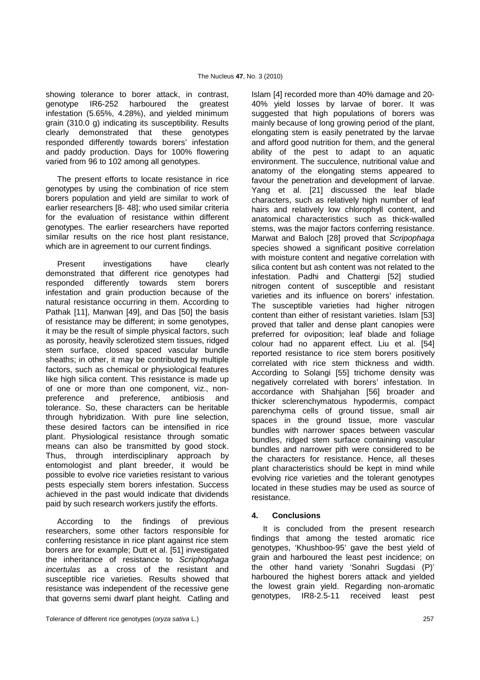showing tolerance to borer attack, in contrast, genotype IR6-252 harboured the greatest infestation (5.65%, 4.28%), and yielded minimum grain (310.0 g) indicating its susceptibility. Results clearly demonstrated that these genotypes responded differently towards borers' infestation and paddy production. Days for 100% flowering varied from 96 to 102 among all genotypes.

The present efforts to locate resistance in rice genotypes by using the combination of rice stem borers population and yield are similar to work of earlier researchers [8- 48]; who used similar criteria for the evaluation of resistance within different genotypes. The earlier researchers have reported similar results on the rice host plant resistance, which are in agreement to our current findings.

Present investigations have clearly demonstrated that different rice genotypes had responded differently towards stem borers infestation and grain production because of the natural resistance occurring in them. According to Pathak [11], Manwan [49], and Das [50] the basis of resistance may be different; in some genotypes, it may be the result of simple physical factors, such as porosity, heavily sclerotized stem tissues, ridged stem surface, closed spaced vascular bundle sheaths; in other, it may be contributed by multiple factors, such as chemical or physiological features like high silica content. This resistance is made up of one or more than one component, viz., nonpreference and preference, antibiosis and tolerance. So, these characters can be heritable through hybridization. With pure line selection, these desired factors can be intensified in rice plant. Physiological resistance through somatic means can also be transmitted by good stock. Thus, through interdisciplinary approach by entomologist and plant breeder, it would be possible to evolve rice varieties resistant to various pests especially stem borers infestation. Success achieved in the past would indicate that dividends paid by such research workers justify the efforts.

According to the findings of previous researchers, some other factors responsible for conferring resistance in rice plant against rice stem borers are for example; Dutt et al. [51] investigated the inheritance of resistance to *Scriphophaga incertulas* as a cross of the resistant and susceptible rice varieties. Results showed that resistance was independent of the recessive gene that governs semi dwarf plant height. Catling and Islam [4] recorded more than 40% damage and 20- 40% yield losses by larvae of borer. It was suggested that high populations of borers was mainly because of long growing period of the plant, elongating stem is easily penetrated by the larvae and afford good nutrition for them, and the general ability of the pest to adapt to an aquatic environment. The succulence, nutritional value and anatomy of the elongating stems appeared to favour the penetration and development of larvae. Yang et al. [21] discussed the leaf blade characters, such as relatively high number of leaf hairs and relatively low chlorophyll content, and anatomical characteristics such as thick-walled stems, was the major factors conferring resistance. Marwat and Baloch [28] proved that *Scripophaga* species showed a significant positive correlation with moisture content and negative correlation with silica content but ash content was not related to the infestation. Padhi and Chattergi [52] studied nitrogen content of susceptible and resistant varieties and its influence on borers' infestation. The susceptible varieties had higher nitrogen content than either of resistant varieties. Islam [53] proved that taller and dense plant canopies were preferred for oviposition; leaf blade and foliage colour had no apparent effect. Liu et al. [54] reported resistance to rice stem borers positively correlated with rice stem thickness and width. According to Solangi [55] trichome density was negatively correlated with borers' infestation. In accordance with [Shahjahan](http://ovidsp.tx.ovid.com/spb/ovidweb.cgi?&S=FKCBFPJGKHDDJGFJMCHLAHNKOOPPAA00&Search+Link=%22Shahjahan%2c+M%22.au.) [56] broader and thicker sclerenchymatous hypodermis, compact parenchyma cells of ground tissue, small air spaces in the ground tissue, more vascular bundles with narrower spaces between vascular bundles, ridged stem surface containing vascular bundles and narrower pith were considered to be the characters for resistance. Hence, all theses plant characteristics should be kept in mind while evolving rice varieties and the tolerant genotypes located in these studies may be used as source of resistance.

## **4. Conclusions**

It is concluded from the present research findings that among the tested aromatic rice genotypes, 'Khushboo-95' gave the best yield of grain and harboured the least pest incidence; on the other hand variety 'Sonahri Sugdasi (P)' harboured the highest borers attack and yielded the lowest grain yield. Regarding non-aromatic genotypes, IR8-2.5-11 received least pest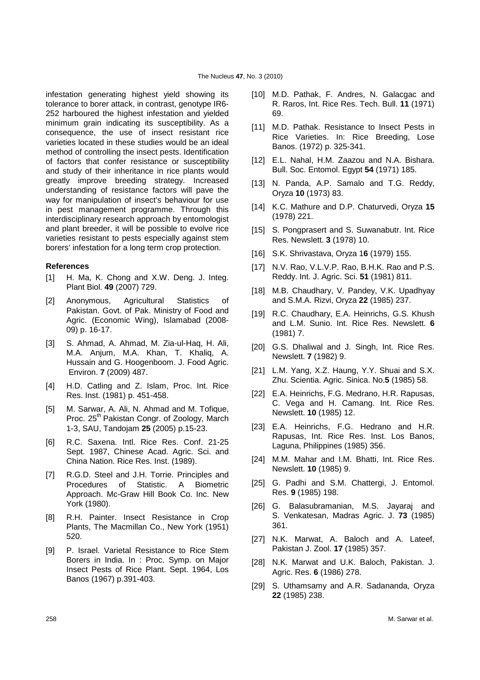infestation generating highest yield showing its tolerance to borer attack, in contrast, genotype IR6- 252 harboured the highest infestation and yielded minimum grain indicating its susceptibility. As a consequence, the use of insect resistant rice varieties located in these studies would be an ideal method of controlling the insect pests. Identification of factors that confer resistance or susceptibility and study of their inheritance in rice plants would greatly improve breeding strategy. Increased understanding of resistance factors will pave the way for manipulation of insect's behaviour for use in pest management programme. Through this interdisciplinary research approach by entomologist and plant breeder, it will be possible to evolve rice varieties resistant to pests especially against stem borers' infestation for a long term crop protection.

#### **References**

- [1] H. Ma, K. Chong and X.W. Deng. J. Integ. Plant Biol. **49** (2007) 729.
- [2] Anonymous, Agricultural Statistics of Pakistan. Govt. of Pak. Ministry of Food and Agric. (Economic Wing), Islamabad (2008- 09) p. 16-17.
- [3] S. Ahmad, A. Ahmad, M. Zia-ul-Haq, H. Ali, M.A. Anjum, M.A. Khan, T. Khaliq, A. Hussain and G. Hoogenboom. J. Food Agric. Environ. **7** (2009) 487.
- [4] H.D. Catling and Z. Islam, Proc. Int. Rice Res. Inst. (1981) p. 451-458.
- [5] M. Sarwar, A. Ali, N. Ahmad and M. Tofique, Proc. 25<sup>th</sup> Pakistan Congr. of Zoology, March 1-3, SAU, Tandojam **25** (2005) p.15-23.
- [6] R.C. Saxena. Intl. Rice Res. Conf. 21-25 Sept. 1987, Chinese Acad. Agric. Sci. and China Nation. Rice Res. Inst. (1989).
- [7] R.G.D. Steel and J.H. Torrie. Principles and Procedures of Statistic. A Biometric Approach. Mc-Graw Hill Book Co. Inc. New York (1980).
- [8] R.H. Painter. Insect Resistance in Crop Plants, The Macmillan Co., New York (1951) 520.
- [9] P. Israel. Varietal Resistance to Rice Stem Borers in India. In : Proc. Symp. on Major Insect Pests of Rice Plant. Sept. 1964, Los Banos (1967) p.391-403.
- [10] M.D. Pathak, F. Andres, N. Galacgac and R. Raros, Int. Rice Res. Tech. Bull. **11** (1971) 69.
- [11] M.D. Pathak. Resistance to Insect Pests in Rice Varieties. In: Rice Breeding, Lose Banos. (1972) p. 325-341.
- [12] E.L. Nahal, H.M. Zaazou and N.A. Bishara. Bull. Soc. Entomol. Egypt **54** (1971) 185.
- [13] N. Panda, A.P. Samalo and T.G. Reddy, Oryza **10** (1973) 83.
- [14] K.C. Mathure and D.P. Chaturvedi, Oryza **15**  (1978) 221.
- [15] S. Pongprasert and S. Suwanabutr. Int. Rice Res. Newslett. **3** (1978) 10.
- [16] S.K. Shrivastava, Oryza 1**6** (1979) 155.
- [17] N.V. Rao, V.L.V.P. Rao, B.H.K. Rao and P.S. Reddy. Int. J. Agric. Sci. **51** (1981) 811.
- [18] M.B. Chaudhary, V. Pandey, V.K. Upadhyay and S.M.A. Rizvi, Oryza **22** (1985) 237.
- [19] R.C. Chaudhary, E.A. Heinrichs, G.S. Khush and L.M. Sunio. Int. Rice Res. Newslett. **6**  (1981) 7.
- [20] G.S. Dhaliwal and J. Singh, Int. Rice Res. Newslett. **7** (1982) 9.
- [21] L.M. Yang, X.Z. Haung, Y.Y. Shuai and S.X. Zhu. Scientia. Agric. Sinica. No.**5** (1985) 58.
- [22] E.A. Heinrichs, F.G. Medrano, H.R. Rapusas, C. Vega and H. Camang. Int. Rice Res. Newslett. **10** (1985) 12.
- [23] E.A. Heinrichs, F.G. Hedrano and H.R. Rapusas, Int. Rice Res. Inst. Los Banos, Laguna, Philippines (1985) 356.
- [24] M.M. Mahar and I.M. Bhatti, Int. Rice Res. Newslett. **10** (1985) 9.
- [25] G. Padhi and S.M. Chattergi, J. Entomol. Res. **9** (1985) 198.
- [26] G. Balasubramanian, M.S. Jayaraj and S. Venkatesan, Madras Agric. J. **73** (1985) 361.
- [27] N.K. Marwat, A. Baloch and A. Lateef, Pakistan J. Zool. **17** (1985) 357.
- [28] N.K. Marwat and U.K. Baloch, Pakistan. J. Agric. Res. **6** (1986) 278.
- [29] S. Uthamsamy and A.R. Sadananda, Oryza **22** (1985) 238.